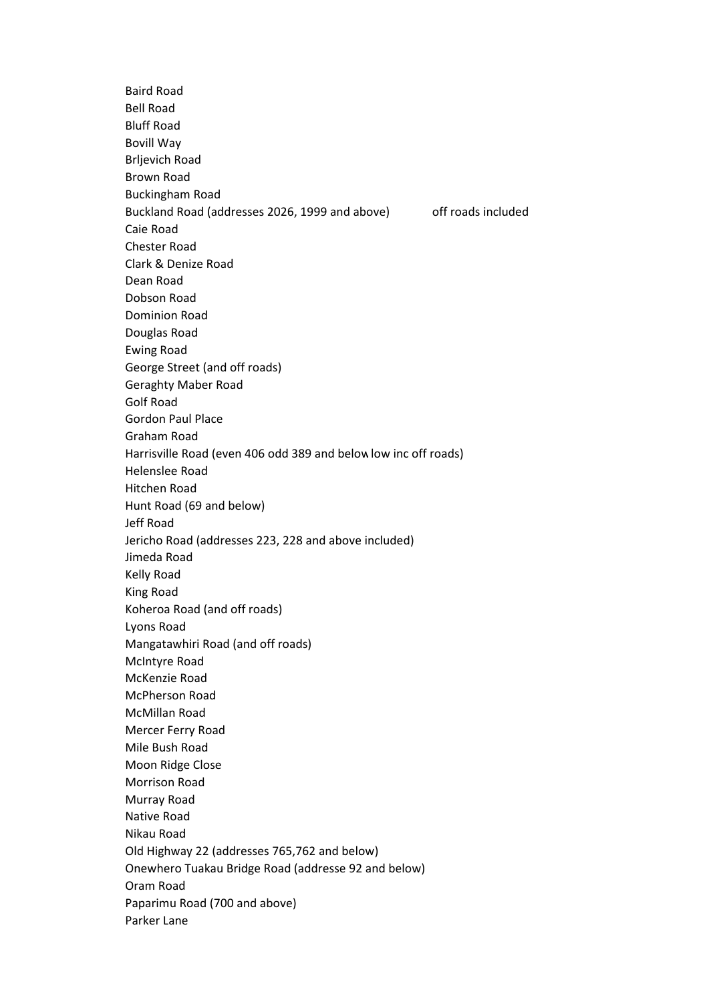Baird Road Bell Road Bluff Road Bovill Way Brljevich Road Brown Road Buckingham Road Buckland Road (addresses 2026, 1999 and above) off roads included Caie Road Chester Road Clark & Denize Road Dean Road Dobson Road Dominion Road Douglas Road Ewing Road George Street (and off roads) Geraghty Maber Road Golf Road Gordon Paul Place Graham Road Harrisville Road (even 406 odd 389 and belowlow inc off roads) Helenslee Road Hitchen Road Hunt Road (69 and below) Jeff Road Jericho Road (addresses 223, 228 and above included) Jimeda Road Kelly Road King Road Koheroa Road (and off roads) Lyons Road Mangatawhiri Road (and off roads) McIntyre Road McKenzie Road McPherson Road McMillan Road Mercer Ferry Road Mile Bush Road Moon Ridge Close Morrison Road Murray Road Native Road Nikau Road Old Highway 22 (addresses 765,762 and below) Onewhero Tuakau Bridge Road (addresse 92 and below) Oram Road Paparimu Road (700 and above) Parker Lane